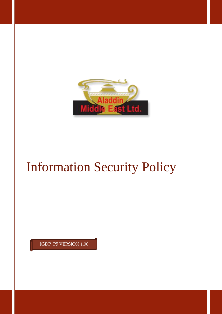

# Information Security Policy

IGDP\_P5 VERSION 1.00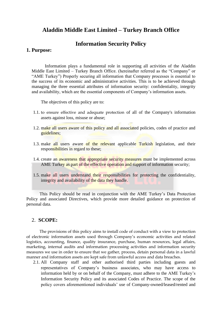## **Aladdin Middle East Limited – Turkey Branch Office**

## **Information Security Policy**

#### **1. Purpose:**

Information plays a fundamental role in supporting all activities of the Aladdin Middle East Limited – Turkey Branch Office. (hereinafter referred as the "Company" or "AME Turkey") Properly securing all information that Company processes is essential to the success of its economic and administrative activities. This is to be achieved through managing the three essential attributes of information security: confidentiality, integrity and availability, which are the essential components of Company's information assets.

The objectives of this policy are to:

- 1.1. to ensure effective and adequate protection of all of the Company's information assets against loss, misuse or abuse;
- 1.2. make all users aware of this policy and all associated policies, codes of practice and guidelines;
- 1.3. make all users aware of the relevant applicable Turkish legislation, and their responsibilities in regard to these;
- 1.4. create an awareness that appropriate security measures must be implemented across AME Turkey as part of the effective operation and support of information security;
- 1.5. make all users understand their responsibilities for protecting the confidentiality, integrity and availability of the data they handle.

This Policy should be read in conjunction with the AME Turkey's Data Protection Policy and associated Directives, which provide more detailed guidance on protection of personal data.

#### 2. **SCOPE:**

The provisions of this policy aims to install code of conduct with a view to protection of electronic information assets used through Company's economic activities and related logistics, accounting, finance, quality insurance, purchase, human resources, legal affairs, marketing, internal audits and information processing activities and information security measures we use in order to ensure that we gather, process, detain personal data in a lawful manner and information assets are kept safe from unlawful access and data breaches.

2.1. All Company staff and other authorised third parties including guests and representatives of Company's business associates, who may have access to information held by or on behalf of the Company, must adhere to the AME Turkey's Information Security Policy and its associated Codes of Practice. The scope of the policy covers aforementioned individuals' use of Company-owned/leased/rented and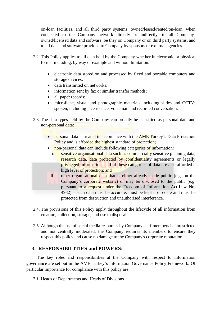on-loan facilities, and all third party systems, owned/leased/rented/on-loan, when connected to the Company network directly or indirectly, to all Companyowned/licensed data and software, be they on Company or on third party systems, and to all data and software provided to Company by sponsors or external agencies.

- 2.2. This Policy applies to all data held by the Company whether in electronic or physical format including, by way of example and without limitation:
	- electronic data stored on and processed by fixed and portable computers and storage devices;
	- data transmitted on networks;
	- information sent by fax or similar transfer methods;
	- all paper records:
	- microfiche, visual and photographic materials including slides and CCTV; spoken, including face-to-face, voicemail and recorded conversation.
- 2.3. The data types held by the Company can broadly be classified as personal data and non-personal data:
	- personal data is treated in accordance with the **AME** Turkey's Data Protection Policy and is afforded the highest standard of protection;
	- non-personal data can include following categories of information:
		- i. sensitive organisational data such as commercially sensitive planning data, research data, data protected by confidentiality agreements or legally privileged information – all of these categories of data are also afforded a high level of protection; and
		- ii. other organisational data that is either already made public (e.g. on the Company's corporate website) or may be disclosed to the public (e.g. pursuant to a request under the Freedom of Information Act-Law No. 4982) – such data must be accurate, must be kept up-to-date and must be protected from destruction and unauthorised interference.
- 2.4. The provisions of this Policy apply throughout the lifecycle of all information from creation, collection, storage, and use to disposal.
- 2.5. Although the use of social media resources by Company staff members is unrestricted and not centrally moderated, the Company requires its members to ensure they respect this policy and cause no damage to the Company's corporate reputation.

## **3. RESPONSIBILITIES and POWERS:**

The key roles and responsibilities at the Company with respect to information governance are set out in the AME Turkey's Information Governance Policy Framework. Of particular importance for compliance with this policy are:

3.1. Heads of Departments and Heads of Divisions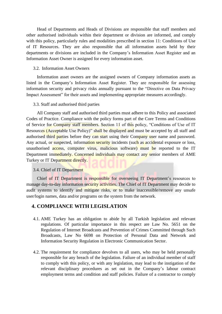Head of Departments and Heads of Divisions are responsible that staff members and other authorised individuals within their department or division are informed, and comply with this policy, particularly rules and modalities prescribed in section 11: Conditions of Use of IT Resources. They are also responsible that all information assets held by their departments or divisions are included in the Company's Information Asset Register and an Information Asset Owner is assigned for every information asset.

#### 3.2. Information Asset Owners

Information asset owners are the assigned owners of Company information assets as listed in the Company's Information Asset Register. They are responsible for assessing information security and privacy risks annually pursuant to the "Directive on Data Privacy Impact Assessment" for their assets and implementing appropriate measures accordingly.

#### 3.3. Staff and authorised third parties

All Company staff and authorised third parties must adhere to this Policy and associated Codes of Practice. Compliance with the policy forms part of the Core Terms and Conditions of Service for Company staff members. Section 11 of this policy, "Conditions of Use of IT Resources (Acceptable Use Policy)" shall be displayed and must be accepted by all staff and authorised third parties before they can start using their Company user name and password. Any actual, or suspected, information security incidents (such as accidental exposure or loss, unauthorised access, computer virus, malicious software) must be reported to the IT Department immediately. Concerned individuals may contact any senior members of AME Turkey or IT Department directly.

#### 3.4. Chief of IT Department

Chief of IT Department is responsible for overseeing IT Department's resources to manage day-to-day information security activities. The Chief of IT Department may decide to audit systems to identify and mitigate risks, or to make inaccessible/remove any unsafe user/login names, data and/or programs on the system from the network.

#### **4. COMPLIANCE WITH LEGISLATION**

- 4.1. AME Turkey has an obligation to abide by all Turkish legislation and relevant regulations. Of particular importance in this respect are Law No. 5651 on the Regulation of Internet Broadcasts and Prevention of Crimes Committed through Such Broadcasts, Law No 6698 on Protection of Personal Data and Network and Information Security Regulation in Electronic Communication Sector.
- 4.2. The requirement for compliance devolves to all users, who may be held personally responsible for any breach of the legislation. Failure of an individual member of staff to comply with this policy, or with any legislation, may lead to the instigation of the relevant disciplinary procedures as set out in the Company's labour contract employment terms and condition and staff policies. Failure of a contractor to comply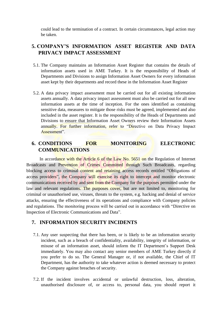could lead to the termination of a contract. In certain circumstances, legal action may be taken.

## **5. COMPANY'S INFORMATION ASSET REGISTER AND DATA PRIVACY IMPACT ASSESSMENT**

- 5.1. The Company maintains an Information Asset Register that contains the details of information assets used in AME Turkey. It is the responsibility of Heads of Departments and Divisions to assign Information Asset Owners for every information asset kept by their departments and record these in the Information Asset Register
- 5.2. A data privacy impact assessment must be carried out for all existing information assets annually. A data privacy impact assessment must also be carried out for all new information assets at the time of inception. For the ones identified as containing sensitive data, measures to mitigate those risks must be agreed, implemented and also included in the asset register. It is the responsibility of the Heads of Departments and Divisions to ensure that Information Asset Owners review their Information Assets annually. For further information, refer to "Directive on Data Privacy Impact Assessment".

# **6. CONDITIONS FOR MONITORING ELECTRONIC COMMUNICATIONS**

In accordance with the Article 6 of the Law No. 5651 on the Regulation of Internet Broadcasts and Prevention of Crimes Committed through Such Broadcasts, regarding blocking access to criminal content and retaining access records entitled "Obligations of access providers", the Company will exercise its right to intercept and monitor electronic communications received by and sent from the Company for the purposes permitted under the law and relevant regulations. The purposes cover, but are not limited to, monitoring for criminal or unauthorised use, viruses, threats to the system, e.g. hacking and denial of service attacks, ensuring the effectiveness of its operations and compliance with Company policies and regulations. The monitoring process will be carried out in accordance with "Directive on Inspection of Electronic Communications and Data".

#### **7. INFORMATION SECURITY INCIDENTS**

- 7.1. Any user suspecting that there has been, or is likely to be an information security incident, such as a breach of confidentiality, availability, integrity of information, or misuse of an information asset, should inform the IT Department's Support Desk immediately. You may also contact any senior members of AME Turkey directly if you prefer to do so. The General Manager or, if not available, the Chief of IT Department, has the authority to take whatever action is deemed necessary to protect the Company against breaches of security.
- 7.2. If the incident involves accidental or unlawful destruction, loss, alteration, unauthorised disclosure of, or access to, personal data, you should report it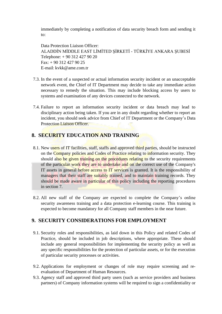immediately by completing a notification of data security breach form and sending it to:

Data Protection Liaison Officer: ALADDİN MİDDLE EAST LİMİTED ŞİRKETİ - TÜRKİYE ANKARA ŞUBESİ Telephone: + 90 312 427 90 20 Fax: + 90 312 427 90 25 E-mail: kvkk@ame.com.tr

- 7.3. In the event of a suspected or actual information security incident or an unacceptable network event, the Chief of IT Department may decide to take any immediate action necessary to remedy the situation. This may include blocking access by users to systems and examination of any devices connected to the network.
- 7.4. Failure to report an information security incident or data breach may lead to disciplinary action being taken. If you are in any doubt regarding whether to report an incident, you should seek advice from Chief of IT Department or the Company's Data Protection Liaison Officer.

## **8. SECURITY EDUCATION AND TRAINING**

- 8.1. New users of IT facilities, staff, staffs and approved third parties, should be instructed on the Company policies and Codes of Practice relating to information security. They should also be given training on the procedures relating to the security requirements of the particular work they are to undertake and on the correct use of the Company's IT assets in general before access to IT services is granted. It is the responsibility of managers that their staff are suitably trained, and to maintain training records. They should be made aware in particular of this policy including the reporting procedures in section 7.
- 8.2. All new staff of the Company are expected to complete the Company's online security awareness training and a data protection e-learning course. This training is expected to become mandatory for all Company staff members in the near future.

# **9. SECURITY CONSIDERATIONS FOR EMPLOYMENT**

- 9.1. Security roles and responsibilities, as laid down in this Policy and related Codes of Practice, should be included in job descriptions, where appropriate. These should include any general responsibilities for implementing the security policy as well as any specific responsibilities for the protection of particular assets, or for the execution of particular security processes or activities.
- 9.2. Applications for employment or changes of role may require screening and reevaluation of Department of Human Resources.
- 9.3. Agency staff and approved third party users (such as service providers and business partners) of Company information systems will be required to sign a confidentiality or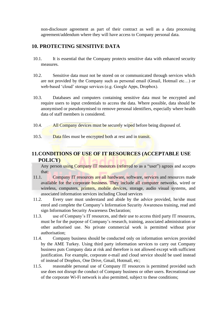non-disclosure agreement as part of their contract as well as a data processing agreement/addendum where they will have access to Company personal data.

## **10. PROTECTING SENSITIVE DATA**

- 10.1. It is essential that the Company protects sensitive data with enhanced security measures.
- 10.2. Sensitive data must not be stored on or communicated through services which are not provided by the Company such as personal email (Gmail, Hotmail etc…) or web-based 'cloud' storage services (e.g. Google Apps, Dropbox).
- 10.3. Databases and computers containing sensitive data must be encrypted and require users to input credentials to access the data. Where possible, data should be anonymised or pseudonymised to remove personal identifiers, especially where health data of staff members is considered.
- 10.4. All Company devices must be securely wiped before being disposed of.
- 10.5. Data files must be encrypted both at rest and in transit.

# **11.CONDITIONS OF USE OF IT RESOURCES (ACCEPTABLE USE POLICY)**

Any person using Company IT resources (referred to as a "user") agrees and accepts that:

- 11.1. Company IT resources are all hardware, software, services and resources made available for the corporate business. They include all computer networks, wired or wireless, computers, printers, mobile devices, storage, audio visual systems, and associated information services including Cloud services
- 11.2. Every user must understand and abide by the advice provided, he/she must enrol and complete the Company's Information Security Awareness training, read and sign Information Security Awareness Declaration;
- 11.3. use of Company's IT resources, and their use to access third party IT resources, must be for the purpose of Company's research, training, associated administration or other authorised use. No private commercial work is permitted without prior authorisation;
- 11.4. Company business should be conducted only on information services provided by the AME Turkey. Using third party information services to carry out Company business puts Company data at risk and therefore is not allowed except with sufficient justification. For example, corporate e-mail and cloud service should be used instead of instead of Dropbox, One Drive, Gmail, Hotmail, etc;
- 11.5. reasonable personal use of Company IT resources is permitted provided such use does not disrupt the conduct of Company business or other users. Recreational use of the corporate Wi-Fi network is also permitted, subject to these conditions;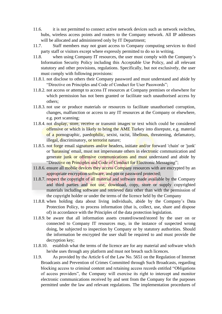- 11.6. it is not permitted to connect active network devices such as network switches, hubs, wireless access points and routers to the Company network. All IP addresses will be allocated and administered only by IT Department;
- 11.7. Staff members may not grant access to Company computing services to third party staff or visitors except where expressly permitted to do so in writing.
- 11.8. when using Company IT resources, the user must comply with the Company's Information Security Policy including this Acceptable Use Policy, and all relevant statutory and other provisions, regulations. Specifically, but not exclusively, the user must comply with following provisions:
- 11.8.1. not disclose to others their Company password and must understand and abide by "Directive on Principles and Code of Conduct for User Passwords";
- 11.8.2. not access or attempt to access IT resources at Company premises or elsewhere for which permission has not been granted or facilitate such unauthorised access by others;
- 11.8.3. not use or produce materials or resources to facilitate unauthorised corruption, changes, malfunction or access to any IT resources at the Company or elsewhere, e.g. port scanning;
- 11.8.4. not display, store, receive or transmit images or text which could be considered offensive or which is likely to bring the AME Turkey into disrepute, e.g. material of a pornographic, paedophilic, sexist, racist, libellous, threatening, defamatory, illegal, discriminatory, or terrorist nature;
- 11.8.5. not forge email signatures and/or headers, initiate and/or forward 'chain' or 'junk' or 'harassing' email, must not impersonate others in electronic communication and generate junk or offensive communications and must understand and abide by "Directive on Principles and Code of Conduct for Electronic Messaging";
- 11.8.6. ensure all mobile devices they access Company resources with are encrypted by an appropriate encryption software, and pin or password protected;
- 11.8.7. respect the copyright of all material and software made available by the Company and third parties and not use, download, copy, store or supply copyrighted materials including software and retrieved data other than with the permission of the copyright holder or under the terms of the licence held by the Company
- 11.8.8. when holding data about living individuals, abide by the Company's Data Protection Policy, to process information (that is, collect, use, share and dispose of) in accordance with the Principles of the data protection legislation.
- 11.8.9. be aware that all information assets created/owned/stored by the user on or connected to Company IT resources may, in the instance of suspected wrong doing, be subjected to inspection by Company or by statutory authorities. Should the information be encrypted the user shall be required to and must provide the decryption key;
- 11.8.10. establish what the terms of the licence are for any material and software which he/she uses through any platform and must not breach such licences.
- 11.9. As provided by the Article 6 of the Law No. 5651 on the Regulation of Internet Broadcasts and Prevention of Crimes Committed through Such Broadcasts, regarding blocking access to criminal content and retaining access records entitled "Obligations of access providers", the Company will exercise its right to intercept and monitor electronic communications received by and sent from the Company for the purposes permitted under the law and relevant regulations. The implementation procedures of